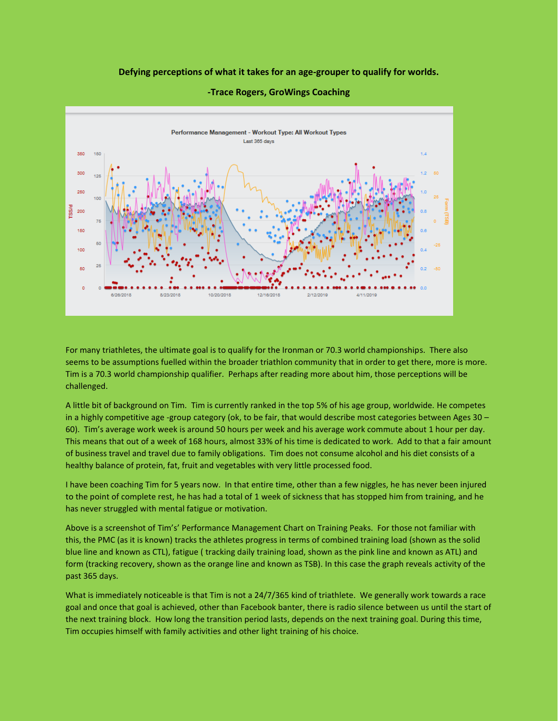## **Defying perceptions of what it takes for an age-grouper to qualify for worlds.**



## **-Trace Rogers, GroWings Coaching**

For many triathletes, the ultimate goal is to qualify for the Ironman or 70.3 world championships. There also seems to be assumptions fuelled within the broader triathlon community that in order to get there, more is more. Tim is a 70.3 world championship qualifier. Perhaps after reading more about him, those perceptions will be challenged.

A little bit of background on Tim. Tim is currently ranked in the top 5% of his age group, worldwide. He competes in a highly competitive age -group category (ok, to be fair, that would describe most categories between Ages 30 – 60). Tim's average work week is around 50 hours per week and his average work commute about 1 hour per day. This means that out of a week of 168 hours, almost 33% of his time is dedicated to work. Add to that a fair amount of business travel and travel due to family obligations. Tim does not consume alcohol and his diet consists of a healthy balance of protein, fat, fruit and vegetables with very little processed food.

I have been coaching Tim for 5 years now. In that entire time, other than a few niggles, he has never been injured to the point of complete rest, he has had a total of 1 week of sickness that has stopped him from training, and he has never struggled with mental fatigue or motivation.

Above is a screenshot of Tim's' Performance Management Chart on Training Peaks. For those not familiar with this, the PMC (as it is known) tracks the athletes progress in terms of combined training load (shown as the solid blue line and known as CTL), fatigue ( tracking daily training load, shown as the pink line and known as ATL) and form (tracking recovery, shown as the orange line and known as TSB). In this case the graph reveals activity of the past 365 days.

What is immediately noticeable is that Tim is not a 24/7/365 kind of triathlete. We generally work towards a race goal and once that goal is achieved, other than Facebook banter, there is radio silence between us until the start of the next training block. How long the transition period lasts, depends on the next training goal. During this time, Tim occupies himself with family activities and other light training of his choice.